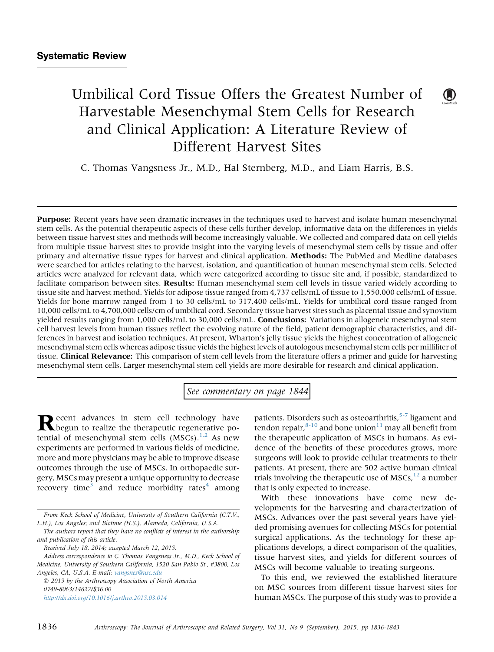# Umbilical Cord Tissue Offers the Greatest Number of Harvestable Mesenchymal Stem Cells for Research and Clinical Application: A Literature Review of Different Harvest Sites

C. Thomas Vangsness Jr., M.D., Hal Sternberg, M.D., and Liam Harris, B.S.

Purpose: Recent years have seen dramatic increases in the techniques used to harvest and isolate human mesenchymal stem cells. As the potential therapeutic aspects of these cells further develop, informative data on the differences in yields between tissue harvest sites and methods will become increasingly valuable. We collected and compared data on cell yields from multiple tissue harvest sites to provide insight into the varying levels of mesenchymal stem cells by tissue and offer primary and alternative tissue types for harvest and clinical application. Methods: The PubMed and Medline databases were searched for articles relating to the harvest, isolation, and quantification of human mesenchymal stem cells. Selected articles were analyzed for relevant data, which were categorized according to tissue site and, if possible, standardized to facilitate comparison between sites. Results: Human mesenchymal stem cell levels in tissue varied widely according to tissue site and harvest method. Yields for adipose tissue ranged from 4,737 cells/mL of tissue to 1,550,000 cells/mL of tissue. Yields for bone marrow ranged from 1 to 30 cells/mL to 317,400 cells/mL. Yields for umbilical cord tissue ranged from 10,000 cells/mL to 4,700,000 cells/cm of umbilical cord. Secondary tissue harvest sites such as placental tissue and synovium yielded results ranging from 1,000 cells/mL to 30,000 cells/mL. **Conclusions:** Variations in allogeneic mesenchymal stem cell harvest levels from human tissues reflect the evolving nature of the field, patient demographic characteristics, and differences in harvest and isolation techniques. At present, Wharton's jelly tissue yields the highest concentration of allogeneic mesenchymal stem cells whereas adipose tissue yields the highest levels of autologous mesenchymal stem cells per milliliter of tissue. Clinical Relevance: This comparison of stem cell levels from the literature offers a primer and guide for harvesting mesenchymal stem cells. Larger mesenchymal stem cell yields are more desirable for research and clinical application.

See commentary on page 1844

Recent advances in stem cell technology have<br>begun to realize the therapeutic regenerative potential of mesenchymal stem cells  $(MSCs).<sup>1,2</sup>$  $(MSCs).<sup>1,2</sup>$  $(MSCs).<sup>1,2</sup>$  As new experiments are performed in various fields of medicine, more and more physicians may be able to improve disease outcomes through the use of MSCs. In orthopaedic surgery, MSCs may present a unique opportunity to decrease recovery time<sup>3</sup> and reduce morbidity rates<sup>4</sup> among

 2015 by the Arthroscopy Association of North America 0749-8063/14622/\$36.00 <http://dx.doi.org/10.1016/j.arthro.2015.03.014>

patients. Disorders such as osteoarthritis,<sup>[5-7](#page-5-0)</sup> ligament and tendon repair, $8-10$  and bone union<sup>11</sup> may all benefit from the therapeutic application of MSCs in humans. As evidence of the benefits of these procedures grows, more surgeons will look to provide cellular treatments to their patients. At present, there are 502 active human clinical trials involving the therapeutic use of  $MSCs<sup>12</sup>$  $MSCs<sup>12</sup>$  $MSCs<sup>12</sup>$  a number that is only expected to increase.

 $\mathbf{U}$ 

With these innovations have come new developments for the harvesting and characterization of MSCs. Advances over the past several years have yielded promising avenues for collecting MSCs for potential surgical applications. As the technology for these applications develops, a direct comparison of the qualities, tissue harvest sites, and yields for different sources of MSCs will become valuable to treating surgeons.

To this end, we reviewed the established literature on MSC sources from different tissue harvest sites for human MSCs. The purpose of this study was to provide a

From Keck School of Medicine, University of Southern California (C.T.V., L.H.), Los Angeles; and Biotime (H.S.), Alameda, California, U.S.A.

The authors report that they have no conflicts of interest in the authorship and publication of this article.

Received July 18, 2014; accepted March 12, 2015.

Address correspondence to C. Thomas Vangsness Jr., M.D., Keck School of Medicine, University of Southern California, 1520 San Pablo St., #3800, Los Angeles, CA, U.S.A. E-mail: [vangsnes@usc.edu](mailto:vangsnes@usc.edu)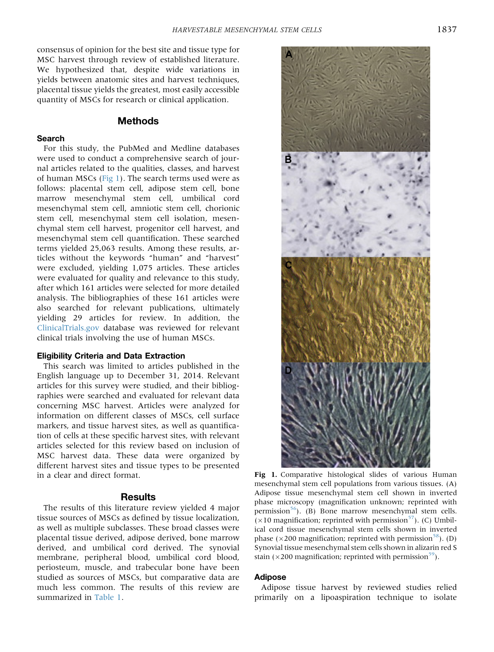<span id="page-1-0"></span>consensus of opinion for the best site and tissue type for MSC harvest through review of established literature. We hypothesized that, despite wide variations in yields between anatomic sites and harvest techniques, placental tissue yields the greatest, most easily accessible quantity of MSCs for research or clinical application.

## Methods

#### Search

For this study, the PubMed and Medline databases were used to conduct a comprehensive search of journal articles related to the qualities, classes, and harvest of human MSCs (Fig 1). The search terms used were as follows: placental stem cell, adipose stem cell, bone marrow mesenchymal stem cell, umbilical cord mesenchymal stem cell, amniotic stem cell, chorionic stem cell, mesenchymal stem cell isolation, mesenchymal stem cell harvest, progenitor cell harvest, and mesenchymal stem cell quantification. These searched terms yielded 25,063 results. Among these results, articles without the keywords "human" and "harvest" were excluded, yielding 1,075 articles. These articles were evaluated for quality and relevance to this study, after which 161 articles were selected for more detailed analysis. The bibliographies of these 161 articles were also searched for relevant publications, ultimately yielding 29 articles for review. In addition, the [ClinicalTrials.gov](http://ClinicalTrials.gov) database was reviewed for relevant clinical trials involving the use of human MSCs.

#### Eligibility Criteria and Data Extraction

This search was limited to articles published in the English language up to December 31, 2014. Relevant articles for this survey were studied, and their bibliographies were searched and evaluated for relevant data concerning MSC harvest. Articles were analyzed for information on different classes of MSCs, cell surface markers, and tissue harvest sites, as well as quantification of cells at these specific harvest sites, with relevant articles selected for this review based on inclusion of MSC harvest data. These data were organized by different harvest sites and tissue types to be presented in a clear and direct format.

## **Results**

The results of this literature review yielded 4 major tissue sources of MSCs as defined by tissue localization, as well as multiple subclasses. These broad classes were placental tissue derived, adipose derived, bone marrow derived, and umbilical cord derived. The synovial membrane, peripheral blood, umbilical cord blood, periosteum, muscle, and trabecular bone have been studied as sources of MSCs, but comparative data are much less common. The results of this review are summarized in [Table 1](#page-2-0).



Fig 1. Comparative histological slides of various Human mesenchymal stem cell populations from various tissues. (A) Adipose tissue mesenchymal stem cell shown in inverted phase microscopy (magnification unknown; reprinted with permission<sup>[56](#page-7-0)</sup>). (B) Bone marrow mesenchymal stem cells.  $(\times 10$  magnification; reprinted with permission<sup>[57](#page-7-0)</sup>). (C) Umbilical cord tissue mesenchymal stem cells shown in inverted phase ( $\times$ 200 magnification; reprinted with permission<sup>58</sup>). (D) Synovial tissue mesenchymal stem cells shown in alizarin red S stain ( $\times$ 200 magnification; reprinted with permission<sup>59</sup>).

#### Adipose

Adipose tissue harvest by reviewed studies relied primarily on a lipoaspiration technique to isolate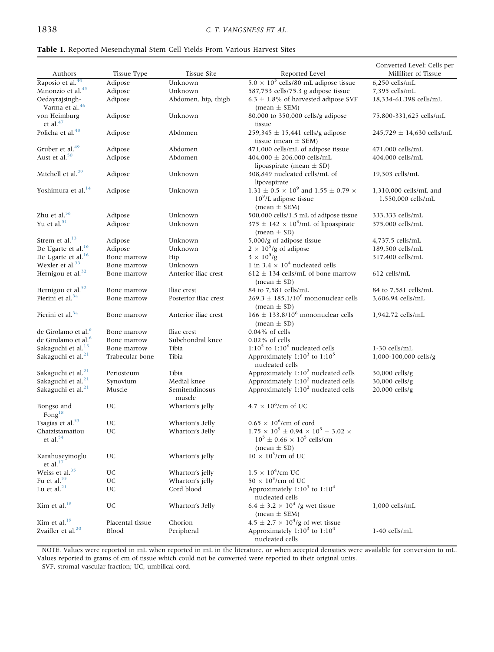#### <span id="page-2-0"></span>Table 1. Reported Mesenchymal Stem Cell Yields From Various Harvest Sites

| Authors                                      | Tissue Type      | <b>Tissue Site</b>       | Reported Level                                                                                                 | Converted Level: Cells per<br>Milliliter of Tissue |
|----------------------------------------------|------------------|--------------------------|----------------------------------------------------------------------------------------------------------------|----------------------------------------------------|
| Raposio et al. <sup>44</sup>                 | Adipose          | Unknown                  | $5.0 \times 10^5$ cells/80 mL adipose tissue                                                                   | $6.250$ cells/mL                                   |
| Minonzio et al. <sup>45</sup>                | Adipose          | Unknown                  | 587,753 cells/75.3 g adipose tissue                                                                            | 7,395 cells/mL                                     |
| Oedayrajsingh-<br>Varma et al. <sup>46</sup> | Adipose          | Abdomen, hip, thigh      | 6.3 $\pm$ 1.8% of harvested adipose SVF<br>$mean \pm SEM$ )                                                    | 18,334-61,398 cells/mL                             |
| von Heimburg<br>et al. <sup>47</sup>         | Adipose          | Unknown                  | 80,000 to 350,000 cells/g adipose<br>tissue                                                                    | 75,800-331,625 cells/mL                            |
| Policha et al. <sup>48</sup>                 | Adipose          | Abdomen                  | $259,345 \pm 15,441$ cells/g adipose<br>tissue (mean $\pm$ SEM)                                                | $245,729 \pm 14,630$ cells/mL                      |
| Gruber et al. <sup>49</sup>                  | Adipose          | Abdomen                  | 471,000 cells/mL of adipose tissue                                                                             | 471,000 cells/mL                                   |
| Aust et al. <sup>50</sup>                    | Adipose          | Abdomen                  | 404,000 $\pm$ 206,000 cells/mL                                                                                 | 404,000 cells/mL                                   |
|                                              |                  |                          | lipoaspirate (mean $\pm$ SD)                                                                                   |                                                    |
| Mitchell et al. <sup>29</sup>                | Adipose          | Unknown                  | 308,849 nucleated cells/mL of<br>lipoaspirate                                                                  | 19,303 cells/mL                                    |
| Yoshimura et al. <sup>14</sup>               | Adipose          | Unknown                  | 1.31 $\pm$ 0.5 $\times$ $10^9$ and 1.55 $\pm$ 0.79 $\times$<br>$10^9$ /L adipose tissue<br>(mean $\pm$ SEM)    | 1,310,000 cells/mL and<br>1,550,000 cells/mL       |
| Zhu et al. <sup>36</sup>                     | Adipose          | Unknown                  | 500,000 cells/1.5 mL of adipose tissue                                                                         | 333,333 cells/mL                                   |
| Yu et al. <sup>51</sup>                      | Adipose          | Unknown                  | 375 $\pm$ 142 $\times$ 10 <sup>3</sup> /mL of lipoaspirate<br>$mean \pm SD$                                    | 375,000 cells/mL                                   |
| Strem et al. <sup>13</sup>                   | Adipose          | Unknown                  | 5,000/g of adipose tissue                                                                                      | 4,737.5 cells/mL                                   |
| De Ugarte et al. <sup>16</sup>               | Adipose          | Unknown                  | $2 \times 10^5$ /g of adipose                                                                                  | 189,500 cells/mL                                   |
| De Ugarte et al. <sup>16</sup>               | Bone marrow      | Hip                      | $3 \times 10^5/g$                                                                                              | 317,400 cells/mL                                   |
| Wexler et al. <sup>33</sup>                  | Bone marrow      | Unknown                  | 1 in 3.4 $\times$ 10 <sup>4</sup> nucleated cells                                                              |                                                    |
| Hernigou et al. <sup>32</sup>                | Bone marrow      | Anterior iliac crest     | $612 \pm 134$ cells/mL of bone marrow<br>$mean \pm SD$                                                         | 612 cells/mL                                       |
| Hernigou et al. <sup>52</sup>                | Bone marrow      | Iliac crest              | 84 to 7,581 cells/mL                                                                                           | 84 to 7,581 cells/mL                               |
| Pierini et al. <sup>34</sup>                 | Bone marrow      | Posterior iliac crest    | $269.3 \pm 185.1/10^6$ mononuclear cells<br>(mean $\pm$ SD)                                                    | 3.606.94 cells/mL                                  |
| Pierini et al. <sup>34</sup>                 | Bone marrow      | Anterior iliac crest     | 166 ± 133.8/10 <sup>6</sup> mononuclear cells<br>$mean \pm SD$                                                 | 1,942.72 cells/mL                                  |
| de Girolamo et al. <sup>6</sup>              | Bone marrow      | Iliac crest              | $0.04\%$ of cells                                                                                              |                                                    |
| de Girolamo et al. <sup>6</sup>              | Bone marrow      | Subchondral knee         | $0.02\%$ of cells                                                                                              |                                                    |
| Sakaguchi et al. <sup>15</sup>               | Bone marrow      | Tibia                    | $1:105$ to $1:106$ nucleated cells                                                                             | 1-30 cells/mL                                      |
| Sakaguchi et al. <sup>21</sup>               | Trabecular bone  | Tibia                    | Approximately $1:10^3$ to $1:10^5$<br>nucleated cells                                                          | 1,000-100,000 cells/g                              |
| Sakaguchi et al. <sup>21</sup>               | Periosteum       | Tibia                    | Approximately 1:10 <sup>2</sup> nucleated cells                                                                | 30,000 cells/g                                     |
| Sakaguchi et al. <sup>21</sup>               | Synovium         | Medial knee              | Approximately 1:10 <sup>2</sup> nucleated cells                                                                | 30,000 cells/g                                     |
| Sakaguchi et al. <sup>21</sup>               | Muscle           | Semitendinosus<br>muscle | Approximately 1:10 <sup>2</sup> nucleated cells                                                                | 20,000 cells/g                                     |
| Bongso and<br>Fong $^{18}$                   | UC               | Wharton's jelly          | $4.7 \times 10^6$ /cm of UC                                                                                    |                                                    |
| Tsagias et al. <sup>53</sup>                 | UC               | Wharton's Jelly          | $0.65 \times 10^6$ /cm of cord                                                                                 |                                                    |
| Chatzistamatiou<br>et al. <sup>54</sup>      | UC               | Wharton's Jelly          | $1.75 \times 10^5 \pm 0.94 \times 10^5 - 3.02 \times$<br>$10^5 \pm 0.66 \times 10^5$ cells/cm<br>$mean \pm SD$ |                                                    |
| Karahuseyinoglu<br>et al. $17$               | UC               | Wharton's jelly          | $10 \times 10^3$ /cm of UC                                                                                     |                                                    |
| Weiss et al. <sup>35</sup>                   | UC               | Wharton's jelly          | $1.5 \times 10^4$ /cm UC                                                                                       |                                                    |
| Fu et al. <sup>55</sup>                      | UC               | Wharton's jelly          | $50 \times 10^3$ /cm of UC                                                                                     |                                                    |
| Lu et al. $^{21}$                            | UC               | Cord blood               | Approximately $1:10^3$ to $1:10^4$<br>nucleated cells                                                          |                                                    |
| Kim et al. $18$                              | UC               | Wharton's Jelly          | 6.4 $\pm$ 3.2 $\times$ 10 <sup>4</sup> /g wet tissue<br>$mean \pm SEM$                                         | 1,000 cells/mL                                     |
| Kim et al. $19$                              | Placental tissue | Chorion                  | $4.5 \pm 2.7 \times 10^4$ /g of wet tissue                                                                     |                                                    |
| Zvaifler et al. <sup>20</sup>                | <b>Blood</b>     | Peripheral               | Approximately $1:10^3$ to $1:10^4$<br>nucleated cells                                                          | 1-40 cells/mL                                      |

NOTE. Values were reported in mL when reported in mL in the literature, or when accepted densities were available for conversion to mL. Values reported in grams of cm of tissue which could not be converted were reported in their original units.

SVF, stromal vascular fraction; UC, umbilical cord.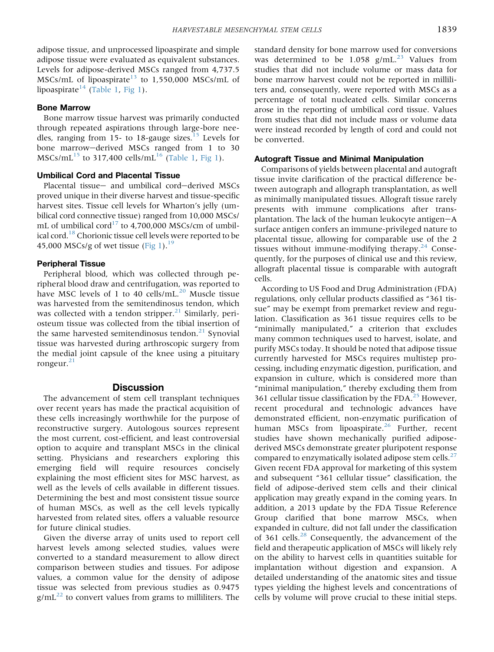adipose tissue, and unprocessed lipoaspirate and simple adipose tissue were evaluated as equivalent substances. Levels for adipose-derived MSCs ranged from 4,737.5 MSCs/mL of lipoaspirate<sup>[13](#page-5-0)</sup> to 1,550,000 MSCs/mL of lipoaspirate<sup>[14](#page-5-0)</sup> [\(Table 1,](#page-2-0) [Fig 1\)](#page-1-0).

#### Bone Marrow

Bone marrow tissue harvest was primarily conducted through repeated aspirations through large-bore nee-dles, ranging from [15](#page-5-0)- to 18-gauge sizes.<sup>15</sup> Levels for bone marrow-derived MSCs ranged from 1 to 30  $MSCs/mL^{15}$  $MSCs/mL^{15}$  $MSCs/mL^{15}$  to 317,400 cells/mL<sup>[16](#page-5-0)</sup> ([Table 1](#page-2-0), [Fig 1](#page-1-0)).

## Umbilical Cord and Placental Tissue

Placental tissue- and umbilical cord-derived MSCs proved unique in their diverse harvest and tissue-specific harvest sites. Tissue cell levels for Wharton's jelly (umbilical cord connective tissue) ranged from 10,000 MSCs/ mL of umbilical cord<sup>17</sup> to 4,700,000 MSCs/cm of umbilical cord.<sup>18</sup> Chorionic tissue cell levels were reported to be 45,000 MSCs/g of wet tissue  $(Fig 1).<sup>19</sup>$  $(Fig 1).<sup>19</sup>$ 

## Peripheral Tissue

Peripheral blood, which was collected through peripheral blood draw and centrifugation, was reported to have MSC levels of 1 to 40 cells/mL. $^{20}$  $^{20}$  $^{20}$  Muscle tissue was harvested from the semitendinosus tendon, which was collected with a tendon stripper. $^{21}$  $^{21}$  $^{21}$  Similarly, periosteum tissue was collected from the tibial insertion of the same harvested semitendinosus tendon. $^{21}$  $^{21}$  $^{21}$  Synovial tissue was harvested during arthroscopic surgery from the medial joint capsule of the knee using a pituitary rongeur. $^{21}$ 

#### **Discussion**

The advancement of stem cell transplant techniques over recent years has made the practical acquisition of these cells increasingly worthwhile for the purpose of reconstructive surgery. Autologous sources represent the most current, cost-efficient, and least controversial option to acquire and transplant MSCs in the clinical setting. Physicians and researchers exploring this emerging field will require resources concisely explaining the most efficient sites for MSC harvest, as well as the levels of cells available in different tissues. Determining the best and most consistent tissue source of human MSCs, as well as the cell levels typically harvested from related sites, offers a valuable resource for future clinical studies.

Given the diverse array of units used to report cell harvest levels among selected studies, values were converted to a standard measurement to allow direct comparison between studies and tissues. For adipose values, a common value for the density of adipose tissue was selected from previous studies as 0.9475  $g/mL^{22}$  $g/mL^{22}$  $g/mL^{22}$  to convert values from grams to milliliters. The

standard density for bone marrow used for conversions was determined to be 1.058  $g/mL^{23}$  $g/mL^{23}$  $g/mL^{23}$  Values from studies that did not include volume or mass data for bone marrow harvest could not be reported in milliliters and, consequently, were reported with MSCs as a percentage of total nucleated cells. Similar concerns arose in the reporting of umbilical cord tissue. Values from studies that did not include mass or volume data were instead recorded by length of cord and could not be converted.

## Autograft Tissue and Minimal Manipulation

Comparisons of yields between placental and autograft tissue invite clarification of the practical difference between autograph and allograph transplantation, as well as minimally manipulated tissues. Allograft tissue rarely presents with immune complications after transplantation. The lack of the human leukocyte antigen $-A$ surface antigen confers an immune-privileged nature to placental tissue, allowing for comparable use of the 2 tissues without immune-modifying therapy. $24$  Consequently, for the purposes of clinical use and this review, allograft placental tissue is comparable with autograft cells.

According to US Food and Drug Administration (FDA) regulations, only cellular products classified as "361 tissue" may be exempt from premarket review and regulation. Classification as 361 tissue requires cells to be "minimally manipulated," a criterion that excludes many common techniques used to harvest, isolate, and purify MSCs today. It should be noted that adipose tissue currently harvested for MSCs requires multistep processing, including enzymatic digestion, purification, and expansion in culture, which is considered more than "minimal manipulation," thereby excluding them from 361 cellular tissue classification by the FDA. $^{25}$  However, recent procedural and technologic advances have demonstrated efficient, non-enzymatic purification of human MSCs from lipoaspirate.<sup>[26](#page-6-0)</sup> Further, recent studies have shown mechanically purified adiposederived MSCs demonstrate greater pluripotent response compared to enzymatically isolated adipose stem cells. $^{27}$  $^{27}$  $^{27}$ Given recent FDA approval for marketing of this system and subsequent "361 cellular tissue" classification, the field of adipose-derived stem cells and their clinical application may greatly expand in the coming years. In addition, a 2013 update by the FDA Tissue Reference Group clarified that bone marrow MSCs, when expanded in culture, did not fall under the classification of 361 cells.<sup>[28](#page-6-0)</sup> Consequently, the advancement of the field and therapeutic application of MSCs will likely rely on the ability to harvest cells in quantities suitable for implantation without digestion and expansion. A detailed understanding of the anatomic sites and tissue types yielding the highest levels and concentrations of cells by volume will prove crucial to these initial steps.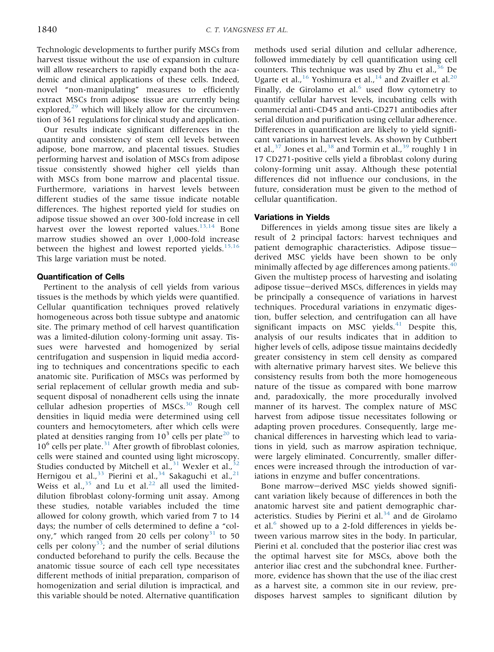Technologic developments to further purify MSCs from harvest tissue without the use of expansion in culture will allow researchers to rapidly expand both the academic and clinical applications of these cells. Indeed, novel "non-manipulating" measures to efficiently extract MSCs from adipose tissue are currently being explored, $2^9$  which will likely allow for the circumvention of 361 regulations for clinical study and application.

Our results indicate significant differences in the quantity and consistency of stem cell levels between adipose, bone marrow, and placental tissues. Studies performing harvest and isolation of MSCs from adipose tissue consistently showed higher cell yields than with MSCs from bone marrow and placental tissue. Furthermore, variations in harvest levels between different studies of the same tissue indicate notable differences. The highest reported yield for studies on adipose tissue showed an over 300-fold increase in cell harvest over the lowest reported values. $13,14$  Bone marrow studies showed an over 1,000-fold increase between the highest and lowest reported yields.<sup>[15,16](#page-5-0)</sup> This large variation must be noted.

## Quantification of Cells

Pertinent to the analysis of cell yields from various tissues is the methods by which yields were quantified. Cellular quantification techniques proved relatively homogeneous across both tissue subtype and anatomic site. The primary method of cell harvest quantification was a limited-dilution colony-forming unit assay. Tissues were harvested and homogenized by serial centrifugation and suspension in liquid media according to techniques and concentrations specific to each anatomic site. Purification of MSCs was performed by serial replacement of cellular growth media and subsequent disposal of nonadherent cells using the innate cellular adhesion properties of MSCs.<sup>[30](#page-6-0)</sup> Rough cell densities in liquid media were determined using cell counters and hemocytometers, after which cells were plated at densities ranging from  $10^3$  cells per plate<sup>[20](#page-6-0)</sup> to  $10^6$  cells per plate.<sup>[31](#page-6-0)</sup> After growth of fibroblast colonies, cells were stained and counted using light microscopy. Studies conducted by Mitchell et al., $31$  Wexler et al., $3$ Hernigou et al.,<sup>[33](#page-6-0)</sup> Pierini et al.,<sup>[34](#page-6-0)</sup> Sakaguchi et al.,<sup>[21](#page-6-0)</sup> Weiss et al.,  $35$  and Lu et al.<sup>[22](#page-6-0)</sup> all used the limiteddilution fibroblast colony-forming unit assay. Among these studies, notable variables included the time allowed for colony growth, which varied from 7 to 14 days; the number of cells determined to define a "colony," which ranged from 20 cells per colony<sup>31</sup> to 50 cells per colony<sup>33</sup>; and the number of serial dilutions conducted beforehand to purify the cells. Because the anatomic tissue source of each cell type necessitates different methods of initial preparation, comparison of homogenization and serial dilution is impractical, and this variable should be noted. Alternative quantification methods used serial dilution and cellular adherence, followed immediately by cell quantification using cell counters. This technique was used by Zhu et al., $36$  De Ugarte et al.,<sup>[16](#page-5-0)</sup> Yoshimura et al.,<sup>[14](#page-5-0)</sup> and Zvaifler et al.<sup>[20](#page-6-0)</sup> Finally, de Girolamo et al. $<sup>6</sup>$  $<sup>6</sup>$  $<sup>6</sup>$  used flow cytometry to</sup> quantify cellular harvest levels, incubating cells with commercial anti-CD45 and anti-CD271 antibodies after serial dilution and purification using cellular adherence. Differences in quantification are likely to yield significant variations in harvest levels. As shown by Cuthbert et al.,  $37$  Jones et al.,  $38$  and Tormin et al.,  $39$  roughly 1 in 17 CD271-positive cells yield a fibroblast colony during colony-forming unit assay. Although these potential differences did not influence our conclusions, in the future, consideration must be given to the method of cellular quantification.

## Variations in Yields

Differences in yields among tissue sites are likely a result of 2 principal factors: harvest techniques and patient demographic characteristics. Adipose tissuederived MSC yields have been shown to be only minimally affected by age differences among patients.<sup>[40](#page-6-0)</sup> Given the multistep process of harvesting and isolating adipose tissue-derived MSCs, differences in yields may be principally a consequence of variations in harvest techniques. Procedural variations in enzymatic digestion, buffer selection, and centrifugation can all have significant impacts on MSC yields. $41$  Despite this, analysis of our results indicates that in addition to higher levels of cells, adipose tissue maintains decidedly greater consistency in stem cell density as compared with alternative primary harvest sites. We believe this consistency results from both the more homogeneous nature of the tissue as compared with bone marrow and, paradoxically, the more procedurally involved manner of its harvest. The complex nature of MSC harvest from adipose tissue necessitates following or adapting proven procedures. Consequently, large mechanical differences in harvesting which lead to variations in yield, such as marrow aspiration technique, were largely eliminated. Concurrently, smaller differences were increased through the introduction of variations in enzyme and buffer concentrations.

Bone marrow-derived MSC yields showed significant variation likely because of differences in both the anatomic harvest site and patient demographic characteristics. Studies by Pierini et al. $34$  and de Girolamo et al. $^6$  $^6$  showed up to a 2-fold differences in yields between various marrow sites in the body. In particular, Pierini et al. concluded that the posterior iliac crest was the optimal harvest site for MSCs, above both the anterior iliac crest and the subchondral knee. Furthermore, evidence has shown that the use of the iliac crest as a harvest site, a common site in our review, predisposes harvest samples to significant dilution by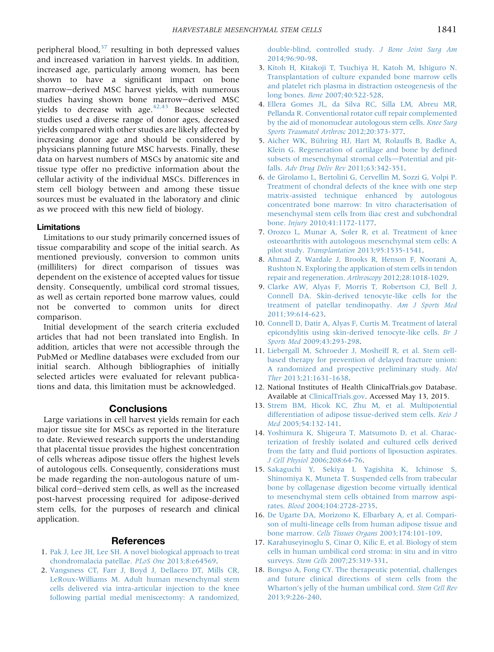<span id="page-5-0"></span>peripheral blood, $37$  resulting in both depressed values and increased variation in harvest yields. In addition, increased age, particularly among women, has been shown to have a significant impact on bone marrow-derived MSC harvest yields, with numerous studies having shown bone marrow-derived MSC yields to decrease with age. $42.43$  Because selected studies used a diverse range of donor ages, decreased yields compared with other studies are likely affected by increasing donor age and should be considered by physicians planning future MSC harvests. Finally, these data on harvest numbers of MSCs by anatomic site and tissue type offer no predictive information about the cellular activity of the individual MSCs. Differences in stem cell biology between and among these tissue sources must be evaluated in the laboratory and clinic as we proceed with this new field of biology.

#### Limitations

Limitations to our study primarily concerned issues of tissue comparability and scope of the initial search. As mentioned previously, conversion to common units (milliliters) for direct comparison of tissues was dependent on the existence of accepted values for tissue density. Consequently, umbilical cord stromal tissues, as well as certain reported bone marrow values, could not be converted to common units for direct comparison.

Initial development of the search criteria excluded articles that had not been translated into English. In addition, articles that were not accessible through the PubMed or Medline databases were excluded from our initial search. Although bibliographies of initially selected articles were evaluated for relevant publications and data, this limitation must be acknowledged.

## **Conclusions**

Large variations in cell harvest yields remain for each major tissue site for MSCs as reported in the literature to date. Reviewed research supports the understanding that placental tissue provides the highest concentration of cells whereas adipose tissue offers the highest levels of autologous cells. Consequently, considerations must be made regarding the non-autologous nature of umbilical cord-derived stem cells, as well as the increased post-harvest processing required for adipose-derived stem cells, for the purposes of research and clinical application.

## References

- 1. [Pak J, Lee JH, Lee SH. A novel biological approach to treat](http://refhub.elsevier.com/S0749-8063(15)00223-6/sref1) [chondromalacia patellae.](http://refhub.elsevier.com/S0749-8063(15)00223-6/sref1) PLoS One 2013;8:e64569.
- 2. [Vangsness CT, Farr J, Boyd J, Dellaero DT, Mills CR,](http://refhub.elsevier.com/S0749-8063(15)00223-6/sref2) [LeRoux-Williams M. Adult human mesenchymal stem](http://refhub.elsevier.com/S0749-8063(15)00223-6/sref2) [cells delivered via intra-articular injection to the knee](http://refhub.elsevier.com/S0749-8063(15)00223-6/sref2) [following partial medial meniscectomy: A randomized,](http://refhub.elsevier.com/S0749-8063(15)00223-6/sref2)

[double-blind, controlled study.](http://refhub.elsevier.com/S0749-8063(15)00223-6/sref2) J Bone Joint Surg Am [2014;96:90-98](http://refhub.elsevier.com/S0749-8063(15)00223-6/sref2).

- 3. [Kitoh H, Kitakoji T, Tsuchiya H, Katoh M, Ishiguro N.](http://refhub.elsevier.com/S0749-8063(15)00223-6/sref3) [Transplantation of culture expanded bone marrow cells](http://refhub.elsevier.com/S0749-8063(15)00223-6/sref3) [and platelet rich plasma in distraction osteogenesis of the](http://refhub.elsevier.com/S0749-8063(15)00223-6/sref3) long bones. Bone [2007;40:522-528.](http://refhub.elsevier.com/S0749-8063(15)00223-6/sref3)
- 4. [Ellera Gomes JL, da Silva RC, Silla LM, Abreu MR,](http://refhub.elsevier.com/S0749-8063(15)00223-6/sref4) [Pellanda R. Conventional rotator cuff repair complemented](http://refhub.elsevier.com/S0749-8063(15)00223-6/sref4) [by the aid of mononuclear autologous stem cells.](http://refhub.elsevier.com/S0749-8063(15)00223-6/sref4) Knee Surg [Sports Traumatol Arthrosc](http://refhub.elsevier.com/S0749-8063(15)00223-6/sref4) 2012;20:373-377.
- 5. [Aicher WK, Bühring HJ, Hart M, Rolauffs B, Badke A,](http://refhub.elsevier.com/S0749-8063(15)00223-6/sref5) [Klein G. Regeneration of cartilage and bone by de](http://refhub.elsevier.com/S0749-8063(15)00223-6/sref5)fined [subsets of mesenchymal stromal cells](http://refhub.elsevier.com/S0749-8063(15)00223-6/sref5)-[Potential and pit](http://refhub.elsevier.com/S0749-8063(15)00223-6/sref5)falls. [Adv Drug Deliv Rev](http://refhub.elsevier.com/S0749-8063(15)00223-6/sref5) 2011;63:342-351.
- 6. [de Girolamo L, Bertolini G, Cervellin M, Sozzi G, Volpi P.](http://refhub.elsevier.com/S0749-8063(15)00223-6/sref6) [Treatment of chondral defects of the knee with one step](http://refhub.elsevier.com/S0749-8063(15)00223-6/sref6) [matrix-assisted technique enhanced by autologous](http://refhub.elsevier.com/S0749-8063(15)00223-6/sref6) [concentrated bone marrow: In vitro characterisation of](http://refhub.elsevier.com/S0749-8063(15)00223-6/sref6) [mesenchymal stem cells from iliac crest and subchondral](http://refhub.elsevier.com/S0749-8063(15)00223-6/sref6) bone. Injury [2010;41:1172-1177.](http://refhub.elsevier.com/S0749-8063(15)00223-6/sref6)
- 7. [Orozco L, Munar A, Soler R, et al. Treatment of knee](http://refhub.elsevier.com/S0749-8063(15)00223-6/sref7) [osteoarthritis with autologous mesenchymal stem cells: A](http://refhub.elsevier.com/S0749-8063(15)00223-6/sref7) pilot study. Transplantation [2013;95:1535-1541](http://refhub.elsevier.com/S0749-8063(15)00223-6/sref7).
- 8. [Ahmad Z, Wardale J, Brooks R, Henson F, Noorani A,](http://refhub.elsevier.com/S0749-8063(15)00223-6/sref8) [Rushton N. Exploring the application of stem cells in tendon](http://refhub.elsevier.com/S0749-8063(15)00223-6/sref8) [repair and regeneration.](http://refhub.elsevier.com/S0749-8063(15)00223-6/sref8) Arthroscopy 2012;28:1018-1029.
- 9. [Clarke AW, Alyas F, Morris T, Robertson CJ, Bell J,](http://refhub.elsevier.com/S0749-8063(15)00223-6/sref9) [Connell DA. Skin-derived tenocyte-like cells for the](http://refhub.elsevier.com/S0749-8063(15)00223-6/sref9) [treatment of patellar tendinopathy.](http://refhub.elsevier.com/S0749-8063(15)00223-6/sref9) Am J Sports Med [2011;39:614-623](http://refhub.elsevier.com/S0749-8063(15)00223-6/sref9).
- 10. [Connell D, Datir A, Alyas F, Curtis M. Treatment of lateral](http://refhub.elsevier.com/S0749-8063(15)00223-6/sref10) [epicondylitis using skin-derived tenocyte-like cells.](http://refhub.elsevier.com/S0749-8063(15)00223-6/sref10) Br J Sports Med [2009;43:293-298](http://refhub.elsevier.com/S0749-8063(15)00223-6/sref10).
- 11. [Liebergall M, Schroeder J, Mosheiff R, et al. Stem cell](http://refhub.elsevier.com/S0749-8063(15)00223-6/sref11)[based therapy for prevention of delayed fracture union:](http://refhub.elsevier.com/S0749-8063(15)00223-6/sref11) [A randomized and prospective preliminary study.](http://refhub.elsevier.com/S0749-8063(15)00223-6/sref11) Mol Ther [2013;21:1631-1638.](http://refhub.elsevier.com/S0749-8063(15)00223-6/sref11)
- 12. National Institutes of Health ClinicalTrials.gov Database. Available at [ClinicalTrials.gov.](http://ClinicalTrials.gov) Accessed May 13, 2015.
- 13. [Strem BM, Hicok KC, Zhu M, et al. Multipotential](http://refhub.elsevier.com/S0749-8063(15)00223-6/sref12) [differentiation of adipose tissue-derived stem cells.](http://refhub.elsevier.com/S0749-8063(15)00223-6/sref12) Keio J Med [2005;54:132-141.](http://refhub.elsevier.com/S0749-8063(15)00223-6/sref12)
- 14. [Yoshimura K, Shigeura T, Matsumoto D, et al. Charac](http://refhub.elsevier.com/S0749-8063(15)00223-6/sref13)[terization of freshly isolated and cultured cells derived](http://refhub.elsevier.com/S0749-8063(15)00223-6/sref13) from the fatty and fl[uid portions of liposuction aspirates.](http://refhub.elsevier.com/S0749-8063(15)00223-6/sref13) J Cell Physiol [2006;208:64-76.](http://refhub.elsevier.com/S0749-8063(15)00223-6/sref13)
- 15. [Sakaguchi Y, Sekiya I, Yagishita K, Ichinose S,](http://refhub.elsevier.com/S0749-8063(15)00223-6/sref14) [Shinomiya K, Muneta T. Suspended cells from trabecular](http://refhub.elsevier.com/S0749-8063(15)00223-6/sref14) [bone by collagenase digestion become virtually identical](http://refhub.elsevier.com/S0749-8063(15)00223-6/sref14) [to mesenchymal stem cells obtained from marrow aspi](http://refhub.elsevier.com/S0749-8063(15)00223-6/sref14)rates. Blood [2004;104:2728-2735](http://refhub.elsevier.com/S0749-8063(15)00223-6/sref14).
- 16. [De Ugarte DA, Morizono K, Elbarbary A, et al. Compari](http://refhub.elsevier.com/S0749-8063(15)00223-6/sref15)[son of multi-lineage cells from human adipose tissue and](http://refhub.elsevier.com/S0749-8063(15)00223-6/sref15) bone marrow. [Cells Tissues Organs](http://refhub.elsevier.com/S0749-8063(15)00223-6/sref15) 2003;174:101-109.
- 17. [Karahuseyinoglu S, Cinar O, Kilic E, et al. Biology of stem](http://refhub.elsevier.com/S0749-8063(15)00223-6/sref16) [cells in human umbilical cord stroma: in situ and in vitro](http://refhub.elsevier.com/S0749-8063(15)00223-6/sref16) surveys. Stem Cells [2007;25:319-331.](http://refhub.elsevier.com/S0749-8063(15)00223-6/sref16)
- 18. [Bongso A, Fong CY. The therapeutic potential, challenges](http://refhub.elsevier.com/S0749-8063(15)00223-6/sref17) [and future clinical directions of stem cells from the](http://refhub.elsevier.com/S0749-8063(15)00223-6/sref17) Wharton'[s jelly of the human umbilical cord.](http://refhub.elsevier.com/S0749-8063(15)00223-6/sref17) Stem Cell Rev [2013;9:226-240](http://refhub.elsevier.com/S0749-8063(15)00223-6/sref17).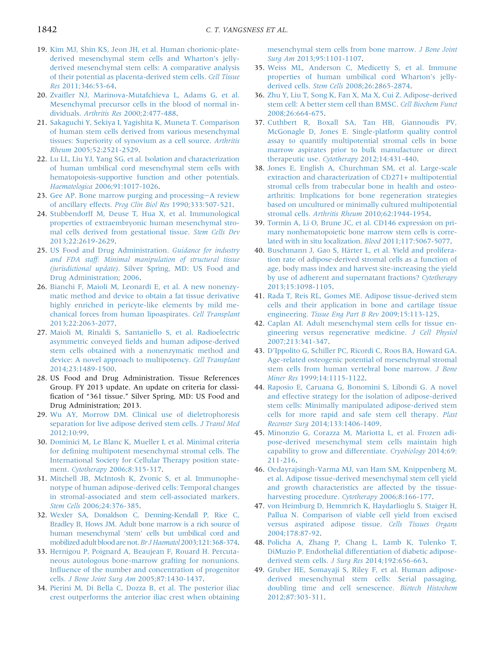- <span id="page-6-0"></span>19. [Kim MJ, Shin KS, Jeon JH, et al. Human chorionic-plate](http://refhub.elsevier.com/S0749-8063(15)00223-6/sref18)[derived mesenchymal stem cells and Wharton](http://refhub.elsevier.com/S0749-8063(15)00223-6/sref18)'s jelly[derived mesenchymal stem cells: A comparative analysis](http://refhub.elsevier.com/S0749-8063(15)00223-6/sref18) [of their potential as placenta-derived stem cells.](http://refhub.elsevier.com/S0749-8063(15)00223-6/sref18) Cell Tissue Res [2011;346:53-64.](http://refhub.elsevier.com/S0749-8063(15)00223-6/sref18)
- 20. Zvaifl[er NJ, Marinova-Mutafchieva L, Adams G, et al.](http://refhub.elsevier.com/S0749-8063(15)00223-6/sref19) [Mesenchymal precursor cells in the blood of normal in](http://refhub.elsevier.com/S0749-8063(15)00223-6/sref19)dividuals. Arthritis Res [2000;2:477-488.](http://refhub.elsevier.com/S0749-8063(15)00223-6/sref19)
- 21. [Sakaguchi Y, Sekiya I, Yagishita K, Muneta T. Comparison](http://refhub.elsevier.com/S0749-8063(15)00223-6/sref20) [of human stem cells derived from various mesenchymal](http://refhub.elsevier.com/S0749-8063(15)00223-6/sref20) [tissues: Superiority of synovium as a cell source.](http://refhub.elsevier.com/S0749-8063(15)00223-6/sref20) Arthritis Rheum [2005;52:2521-2529](http://refhub.elsevier.com/S0749-8063(15)00223-6/sref20).
- 22. [Lu LL, Liu YJ, Yang SG, et al. Isolation and characterization](http://refhub.elsevier.com/S0749-8063(15)00223-6/sref21) [of human umbilical cord mesenchymal stem cells with](http://refhub.elsevier.com/S0749-8063(15)00223-6/sref21) [hematopoiesis-supportive function and other potentials.](http://refhub.elsevier.com/S0749-8063(15)00223-6/sref21) Haematologica [2006;91:1017-1026](http://refhub.elsevier.com/S0749-8063(15)00223-6/sref21).
- 23. [Gee AP. Bone marrow purging and processing](http://refhub.elsevier.com/S0749-8063(15)00223-6/sref22)-[A review](http://refhub.elsevier.com/S0749-8063(15)00223-6/sref22) [of ancillary effects.](http://refhub.elsevier.com/S0749-8063(15)00223-6/sref22) Prog Clin Biol Res 1990;333:507-521.
- 24. [Stubbendorff M, Deuse T, Hua X, et al. Immunological](http://refhub.elsevier.com/S0749-8063(15)00223-6/sref23) [properties of extraembryonic human mesenchymal stro](http://refhub.elsevier.com/S0749-8063(15)00223-6/sref23)[mal cells derived from gestational tissue.](http://refhub.elsevier.com/S0749-8063(15)00223-6/sref23) Stem Cells Dev [2013;22:2619-2629.](http://refhub.elsevier.com/S0749-8063(15)00223-6/sref23)
- 25. [US Food and Drug Administration.](http://refhub.elsevier.com/S0749-8063(15)00223-6/sref24) Guidance for industry [and FDA staff: Minimal manipulation of structural tissue](http://refhub.elsevier.com/S0749-8063(15)00223-6/sref24) (jurisdictional update)[. Silver Spring, MD: US Food and](http://refhub.elsevier.com/S0749-8063(15)00223-6/sref24) [Drug Administration; 2006.](http://refhub.elsevier.com/S0749-8063(15)00223-6/sref24)
- 26. [Bianchi F, Maioli M, Leonardi E, et al. A new nonenzy](http://refhub.elsevier.com/S0749-8063(15)00223-6/sref25)[matic method and device to obtain a fat tissue derivative](http://refhub.elsevier.com/S0749-8063(15)00223-6/sref25) [highly enriched in pericyte-like elements by mild me](http://refhub.elsevier.com/S0749-8063(15)00223-6/sref25)[chanical forces from human lipoaspirates.](http://refhub.elsevier.com/S0749-8063(15)00223-6/sref25) Cell Transplant [2013;22:2063-2077.](http://refhub.elsevier.com/S0749-8063(15)00223-6/sref25)
- 27. [Maioli M, Rinaldi S, Santaniello S, et al. Radioelectric](http://refhub.elsevier.com/S0749-8063(15)00223-6/sref26) asymmetric conveyed fi[elds and human adipose-derived](http://refhub.elsevier.com/S0749-8063(15)00223-6/sref26) [stem cells obtained with a nonenzymatic method and](http://refhub.elsevier.com/S0749-8063(15)00223-6/sref26) [device: A novel approach to multipotency.](http://refhub.elsevier.com/S0749-8063(15)00223-6/sref26) Cell Transplant [2014;23:1489-1500.](http://refhub.elsevier.com/S0749-8063(15)00223-6/sref26)
- 28. US Food and Drug Administration. Tissue References Group. FY 2013 update. An update on criteria for classification of "361 tissue." Silver Spring, MD: US Food and Drug Administration; 2013.
- 29. [Wu AY, Morrow DM. Clinical use of dieletrophoresis](http://refhub.elsevier.com/S0749-8063(15)00223-6/sref28) [separation for live adipose derived stem cells.](http://refhub.elsevier.com/S0749-8063(15)00223-6/sref28) J Transl Med [2012;10:99](http://refhub.elsevier.com/S0749-8063(15)00223-6/sref28).
- 30. [Dominici M, Le Blanc K, Mueller I, et al. Minimal criteria](http://refhub.elsevier.com/S0749-8063(15)00223-6/sref29) for defi[ning multipotent mesenchymal stromal cells. The](http://refhub.elsevier.com/S0749-8063(15)00223-6/sref29) [International Society for Cellular Therapy position state](http://refhub.elsevier.com/S0749-8063(15)00223-6/sref29)ment. Cytotherapy [2006;8:315-317](http://refhub.elsevier.com/S0749-8063(15)00223-6/sref29).
- 31. [Mitchell JB, McIntosh K, Zvonic S, et al. Immunophe](http://refhub.elsevier.com/S0749-8063(15)00223-6/sref30)[notype of human adipose-derived cells: Temporal changes](http://refhub.elsevier.com/S0749-8063(15)00223-6/sref30) [in stromal-associated and stem cell-associated markers.](http://refhub.elsevier.com/S0749-8063(15)00223-6/sref30) Stem Cells [2006;24:376-385](http://refhub.elsevier.com/S0749-8063(15)00223-6/sref30).
- 32. [Wexler SA, Donaldson C, Denning-Kendall P, Rice C,](http://refhub.elsevier.com/S0749-8063(15)00223-6/sref31) [Bradley B, Hows JM. Adult bone marrow is a rich source of](http://refhub.elsevier.com/S0749-8063(15)00223-6/sref31) human mesenchymal 'stem' [cells but umbilical cord and](http://refhub.elsevier.com/S0749-8063(15)00223-6/sref31) [mobilized adult blood are not.](http://refhub.elsevier.com/S0749-8063(15)00223-6/sref31)Br J Haematol2003;121:368-374.
- 33. [Hernigou P, Poignard A, Beaujean F, Rouard H. Percuta](http://refhub.elsevier.com/S0749-8063(15)00223-6/sref32)[neous autologous bone-marrow grafting for nonunions.](http://refhub.elsevier.com/S0749-8063(15)00223-6/sref32) Infl[uence of the number and concentration of progenitor](http://refhub.elsevier.com/S0749-8063(15)00223-6/sref32) cells. [J Bone Joint Surg Am](http://refhub.elsevier.com/S0749-8063(15)00223-6/sref32) 2005;87:1430-1437.
- 34. [Pierini M, Di Bella C, Dozza B, et al. The posterior iliac](http://refhub.elsevier.com/S0749-8063(15)00223-6/sref33) [crest outperforms the anterior iliac crest when obtaining](http://refhub.elsevier.com/S0749-8063(15)00223-6/sref33)

[mesenchymal stem cells from bone marrow.](http://refhub.elsevier.com/S0749-8063(15)00223-6/sref33) J Bone Joint Surg Am [2013;95:1101-1107.](http://refhub.elsevier.com/S0749-8063(15)00223-6/sref33)

- 35. [Weiss ML, Anderson C, Medicetty S, et al. Immune](http://refhub.elsevier.com/S0749-8063(15)00223-6/sref34) [properties of human umbilical cord Wharton](http://refhub.elsevier.com/S0749-8063(15)00223-6/sref34)'s jellyderived cells. Stem Cells [2008;26:2865-2874](http://refhub.elsevier.com/S0749-8063(15)00223-6/sref34).
- 36. [Zhu Y, Liu T, Song K, Fan X, Ma X, Cui Z. Adipose-derived](http://refhub.elsevier.com/S0749-8063(15)00223-6/sref35) [stem cell: A better stem cell than BMSC.](http://refhub.elsevier.com/S0749-8063(15)00223-6/sref35) Cell Biochem Funct [2008;26:664-675](http://refhub.elsevier.com/S0749-8063(15)00223-6/sref35).
- 37. [Cuthbert R, Boxall SA, Tan HB, Giannoudis PV,](http://refhub.elsevier.com/S0749-8063(15)00223-6/sref36) [McGonagle D, Jones E. Single-platform quality control](http://refhub.elsevier.com/S0749-8063(15)00223-6/sref36) [assay to quantify multipotential stromal cells in bone](http://refhub.elsevier.com/S0749-8063(15)00223-6/sref36) [marrow aspirates prior to bulk manufacture or direct](http://refhub.elsevier.com/S0749-8063(15)00223-6/sref36) therapeutic use. Cytotherapy [2012;14:431-440](http://refhub.elsevier.com/S0749-8063(15)00223-6/sref36).
- 38. [Jones E, English A, Churchman SM, et al. Large-scale](http://refhub.elsevier.com/S0749-8063(15)00223-6/sref37) [extraction and characterization of CD271+ multipotential](http://refhub.elsevier.com/S0749-8063(15)00223-6/sref37) [stromal cells from trabecular bone in health and osteo](http://refhub.elsevier.com/S0749-8063(15)00223-6/sref37)[arthritis: Implications for bone regeneration strategies](http://refhub.elsevier.com/S0749-8063(15)00223-6/sref37) [based on uncultured or minimally cultured multipotential](http://refhub.elsevier.com/S0749-8063(15)00223-6/sref37) stromal cells. Arthritis Rheum [2010;62:1944-1954.](http://refhub.elsevier.com/S0749-8063(15)00223-6/sref37)
- 39. [Tormin A, Li O, Brune JC, et al. CD146 expression on pri](http://refhub.elsevier.com/S0749-8063(15)00223-6/sref38)[mary nonhematopoietic bone marrow stem cells is corre](http://refhub.elsevier.com/S0749-8063(15)00223-6/sref38)[lated with in situ localization.](http://refhub.elsevier.com/S0749-8063(15)00223-6/sref38) Blood 2011;117:5067-5077.
- 40. [Buschmann J, Gao S, Härter L, et al. Yield and prolifera](http://refhub.elsevier.com/S0749-8063(15)00223-6/sref39)[tion rate of adipose-derived stromal cells as a function of](http://refhub.elsevier.com/S0749-8063(15)00223-6/sref39) [age, body mass index and harvest site-increasing the yield](http://refhub.elsevier.com/S0749-8063(15)00223-6/sref39) [by use of adherent and supernatant fractions?](http://refhub.elsevier.com/S0749-8063(15)00223-6/sref39) Cytotherapy [2013;15:1098-1105](http://refhub.elsevier.com/S0749-8063(15)00223-6/sref39).
- 41. [Rada T, Reis RL, Gomes ME. Adipose tissue-derived stem](http://refhub.elsevier.com/S0749-8063(15)00223-6/sref40) [cells and their application in bone and cartilage tissue](http://refhub.elsevier.com/S0749-8063(15)00223-6/sref40) engineering. [Tissue Eng Part B Rev](http://refhub.elsevier.com/S0749-8063(15)00223-6/sref40) 2009;15:113-125.
- 42. [Caplan AI. Adult mesenchymal stem cells for tissue en](http://refhub.elsevier.com/S0749-8063(15)00223-6/sref41)[gineering versus regenerative medicine.](http://refhub.elsevier.com/S0749-8063(15)00223-6/sref41) J Cell Physiol [2007;213:341-347](http://refhub.elsevier.com/S0749-8063(15)00223-6/sref41).
- 43. D'[Ippolito G, Schiller PC, Ricordi C, Roos BA, Howard GA.](http://refhub.elsevier.com/S0749-8063(15)00223-6/sref42) [Age-related osteogenic potential of mesenchymal stromal](http://refhub.elsevier.com/S0749-8063(15)00223-6/sref42) [stem cells from human vertebral bone marrow.](http://refhub.elsevier.com/S0749-8063(15)00223-6/sref42) J Bone Miner Res [1999;14:1115-1122.](http://refhub.elsevier.com/S0749-8063(15)00223-6/sref42)
- 44. [Raposio E, Caruana G, Bonomini S, Libondi G. A novel](http://refhub.elsevier.com/S0749-8063(15)00223-6/sref43) [and effective strategy for the isolation of adipose-derived](http://refhub.elsevier.com/S0749-8063(15)00223-6/sref43) [stem cells: Minimally manipulated adipose-derived stem](http://refhub.elsevier.com/S0749-8063(15)00223-6/sref43) [cells for more rapid and safe stem cell therapy.](http://refhub.elsevier.com/S0749-8063(15)00223-6/sref43) Plast Reconstr Surg [2014;133:1406-1409](http://refhub.elsevier.com/S0749-8063(15)00223-6/sref43).
- 45. [Minonzio G, Corazza M, Mariotta L, et al. Frozen adi](http://refhub.elsevier.com/S0749-8063(15)00223-6/sref44)[pose-derived mesenchymal stem cells maintain high](http://refhub.elsevier.com/S0749-8063(15)00223-6/sref44) [capability to grow and differentiate.](http://refhub.elsevier.com/S0749-8063(15)00223-6/sref44) Cryobiology 2014;69: [211-216](http://refhub.elsevier.com/S0749-8063(15)00223-6/sref44).
- 46. [Oedayrajsingh-Varma MJ, van Ham SM, Knippenberg M,](http://refhub.elsevier.com/S0749-8063(15)00223-6/sref45) [et al. Adipose tissue-derived mesenchymal stem cell yield](http://refhub.elsevier.com/S0749-8063(15)00223-6/sref45) [and growth characteristics are affected by the tissue](http://refhub.elsevier.com/S0749-8063(15)00223-6/sref45)[harvesting procedure.](http://refhub.elsevier.com/S0749-8063(15)00223-6/sref45) Cytotherapy 2006;8:166-177.
- 47. [von Heimburg D, Hemmrich K, Haydarlioglu S, Staiger H,](http://refhub.elsevier.com/S0749-8063(15)00223-6/sref46) [Pallua N. Comparison of viable cell yield from excised](http://refhub.elsevier.com/S0749-8063(15)00223-6/sref46) [versus aspirated adipose tissue.](http://refhub.elsevier.com/S0749-8063(15)00223-6/sref46) Cells Tissues Organs [2004;178:87-92](http://refhub.elsevier.com/S0749-8063(15)00223-6/sref46).
- 48. [Policha A, Zhang P, Chang L, Lamb K, Tulenko T,](http://refhub.elsevier.com/S0749-8063(15)00223-6/sref47) [DiMuzio P. Endothelial differentiation of diabetic adipose](http://refhub.elsevier.com/S0749-8063(15)00223-6/sref47)[derived stem cells.](http://refhub.elsevier.com/S0749-8063(15)00223-6/sref47) J Surg Res 2014;192:656-663.
- 49. [Gruber HE, Somayaji S, Riley F, et al. Human adipose](http://refhub.elsevier.com/S0749-8063(15)00223-6/sref48)[derived mesenchymal stem cells: Serial passaging,](http://refhub.elsevier.com/S0749-8063(15)00223-6/sref48) [doubling time and cell senescence.](http://refhub.elsevier.com/S0749-8063(15)00223-6/sref48) Biotech Histochem [2012;87:303-311](http://refhub.elsevier.com/S0749-8063(15)00223-6/sref48).